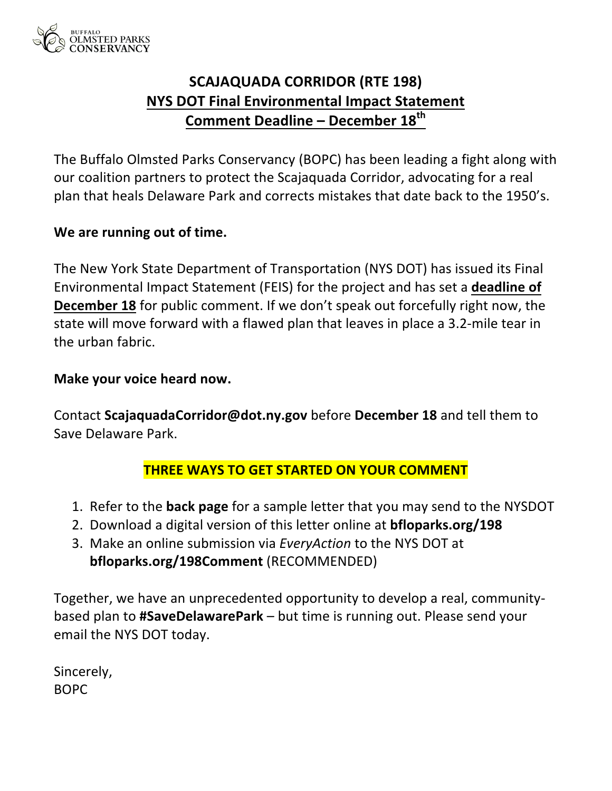

# **SCAJAQUADA CORRIDOR (RTE 198) NYS DOT Final Environmental Impact Statement Comment Deadline - December 18<sup>th</sup>**

The Buffalo Olmsted Parks Conservancy (BOPC) has been leading a fight along with our coalition partners to protect the Scajaquada Corridor, advocating for a real plan that heals Delaware Park and corrects mistakes that date back to the 1950's.

### We are running out of time.

The New York State Department of Transportation (NYS DOT) has issued its Final Environmental Impact Statement (FEIS) for the project and has set a **deadline of December 18** for public comment. If we don't speak out forcefully right now, the state will move forward with a flawed plan that leaves in place a 3.2-mile tear in the urban fabric.

### **Make your voice heard now.**

Contact ScajaquadaCorridor@dot.ny.gov before December 18 and tell them to Save Delaware Park.

### **THREE WAYS TO GET STARTED ON YOUR COMMENT**

- 1. Refer to the **back page** for a sample letter that you may send to the NYSDOT
- 2. Download a digital version of this letter online at **bfloparks.org/198**
- 3. Make an online submission via *EveryAction* to the NYS DOT at **bfloparks.org/198Comment** (RECOMMENDED)

Together, we have an unprecedented opportunity to develop a real, communitybased plan to **#SaveDelawarePark** – but time is running out. Please send your email the NYS DOT today.

Sincerely, BOPC